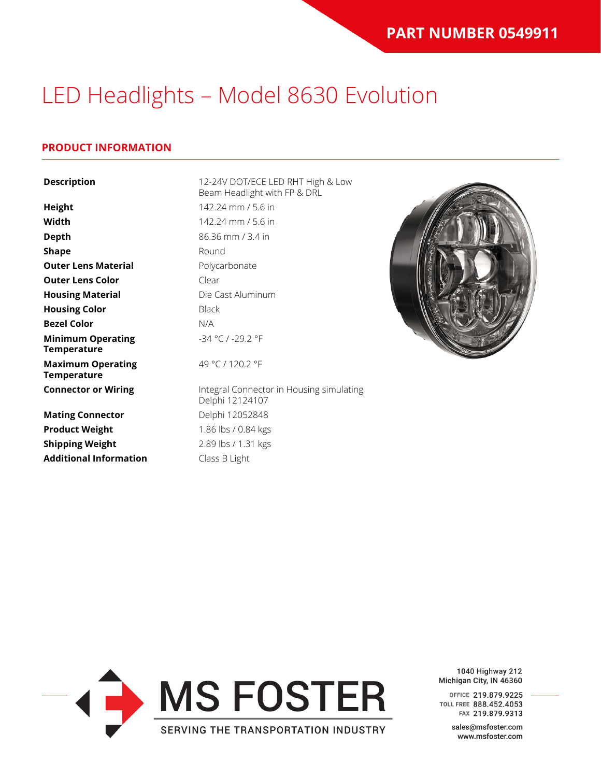#### **PRODUCT INFORMATION**

| <b>Description</b>                             | 12-24V DOT/ECE LED RHT High & Low<br>Beam Headlight with FP & DRL |  |
|------------------------------------------------|-------------------------------------------------------------------|--|
| <b>Height</b>                                  | 142.24 mm / 5.6 in                                                |  |
| Width                                          | 142.24 mm / 5.6 in                                                |  |
| <b>Depth</b>                                   | 86.36 mm / 3.4 in                                                 |  |
| <b>Shape</b>                                   | Round                                                             |  |
| <b>Outer Lens Material</b>                     | Polycarbonate                                                     |  |
| <b>Outer Lens Color</b>                        | Clear                                                             |  |
| <b>Housing Material</b>                        | Die Cast Aluminum                                                 |  |
| <b>Housing Color</b>                           | <b>Black</b>                                                      |  |
| <b>Bezel Color</b>                             | N/A                                                               |  |
| <b>Minimum Operating</b><br><b>Temperature</b> | -34 °C / -29.2 °F                                                 |  |
| <b>Maximum Operating</b><br><b>Temperature</b> | 49 °C / 120.2 °F                                                  |  |
| <b>Connector or Wiring</b>                     | Integral Connector in Housing simulating<br>Delphi 12124107       |  |
| <b>Mating Connector</b>                        | Delphi 12052848                                                   |  |
| <b>Product Weight</b>                          | 1.86 lbs / 0.84 kgs                                               |  |
| <b>Shipping Weight</b>                         | 2.89 lbs / 1.31 kgs                                               |  |
| <b>Additional Information</b>                  | Class B Light                                                     |  |



1040 Highway 212 Michigan City, IN 46360

OFFICE 219.879.9225 TOLL FREE 888.452.4053 FAX 219.879.9313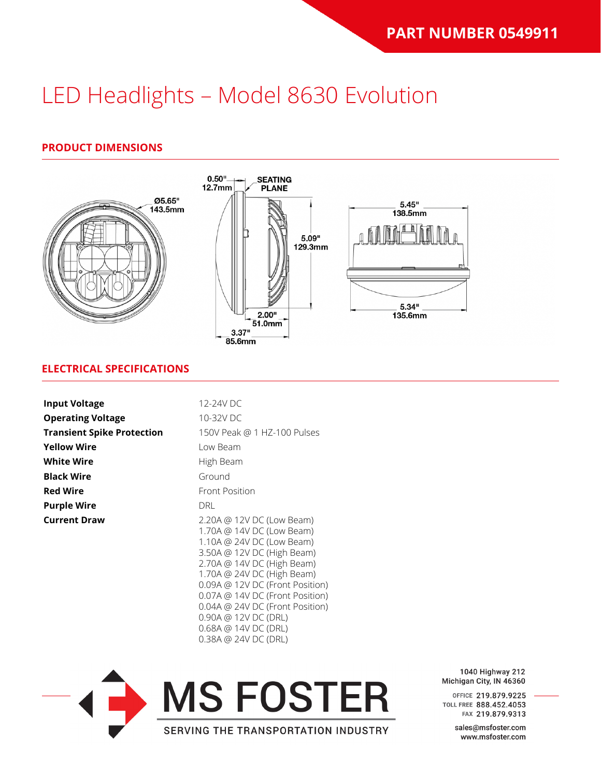#### **PRODUCT DIMENSIONS**



#### **ELECTRICAL SPECIFICATIONS**

| <b>Input Voltage</b>              | 12-24V DC                                                                                                                                                                                                                                                                                                                              |
|-----------------------------------|----------------------------------------------------------------------------------------------------------------------------------------------------------------------------------------------------------------------------------------------------------------------------------------------------------------------------------------|
| <b>Operating Voltage</b>          | 10-32V DC                                                                                                                                                                                                                                                                                                                              |
| <b>Transient Spike Protection</b> | 150V Peak @ 1 HZ-100 Pulses                                                                                                                                                                                                                                                                                                            |
| <b>Yellow Wire</b>                | Low Beam                                                                                                                                                                                                                                                                                                                               |
| <b>White Wire</b>                 | High Beam                                                                                                                                                                                                                                                                                                                              |
| <b>Black Wire</b>                 | Ground                                                                                                                                                                                                                                                                                                                                 |
| <b>Red Wire</b>                   | <b>Front Position</b>                                                                                                                                                                                                                                                                                                                  |
| <b>Purple Wire</b>                | DRL.                                                                                                                                                                                                                                                                                                                                   |
| <b>Current Draw</b>               | 2.20A @ 12V DC (Low Beam)<br>1.70A @ 14V DC (Low Beam)<br>1.10A @ 24V DC (Low Beam)<br>3.50A @ 12V DC (High Beam)<br>2.70A @ 14V DC (High Beam)<br>1.70A @ 24V DC (High Beam)<br>0.09A @ 12V DC (Front Position)<br>0.07A @ 14V DC (Front Position)<br>0.04A @ 24V DC (Front Position)<br>0.90A @ 12V DC (DRL)<br>0.68A @ 14V DC (DRL) |



0.38A @ 24V DC (DRL)

1040 Highway 212 Michigan City, IN 46360

OFFICE 219.879.9225 TOLL FREE 888.452.4053 FAX 219.879.9313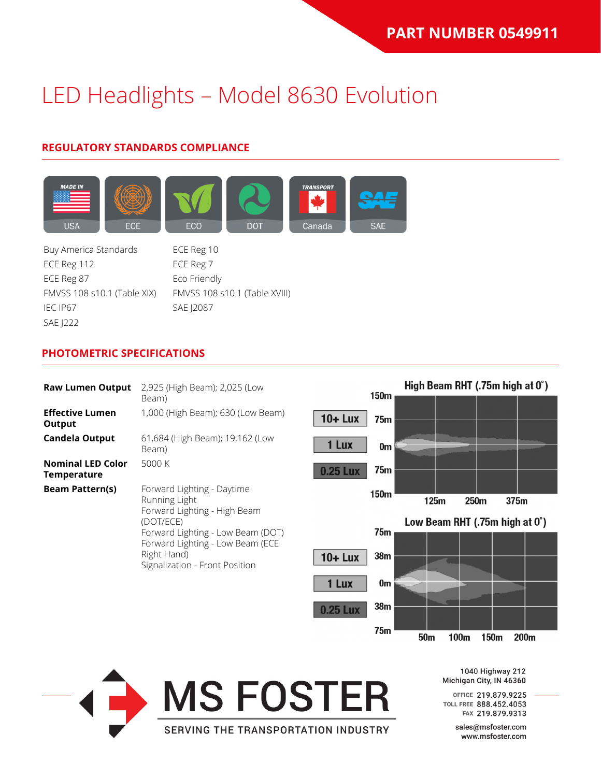### **REGULATORY STANDARDS COMPLIANCE**



Buy America Standards ECE Reg 10 ECE Reg 112 ECE Reg 7 ECE Reg 87 Eco Friendly IEC IP67 SAE J2087 SAE J222

FMVSS 108 s10.1 (Table XIX) FMVSS 108 s10.1 (Table XVIII)

#### **PHOTOMETRIC SPECIFICATIONS**

| <b>Raw Lumen Output</b>                        | 2,925 (High Beam); 2,025 (Low<br>Beam)                                                                                                                                                                             |
|------------------------------------------------|--------------------------------------------------------------------------------------------------------------------------------------------------------------------------------------------------------------------|
| <b>Effective Lumen</b><br>Output               | 1,000 (High Beam); 630 (Low Beam)                                                                                                                                                                                  |
| <b>Candela Output</b>                          | 61,684 (High Beam); 19,162 (Low<br>Beam)                                                                                                                                                                           |
| <b>Nominal LED Color</b><br><b>Temperature</b> | 5000 K                                                                                                                                                                                                             |
| <b>Beam Pattern(s)</b>                         | Forward Lighting - Daytime<br>Running Light<br>Forward Lighting - High Beam<br>(DOT/ECE)<br>Forward Lighting - Low Beam (DOT)<br>Forward Lighting - Low Beam (ECE<br>Right Hand)<br>Signalization - Front Position |





1040 Highway 212 Michigan City, IN 46360

OFFICE 219.879.9225 TOLL FREE 888.452.4053 FAX 219.879.9313